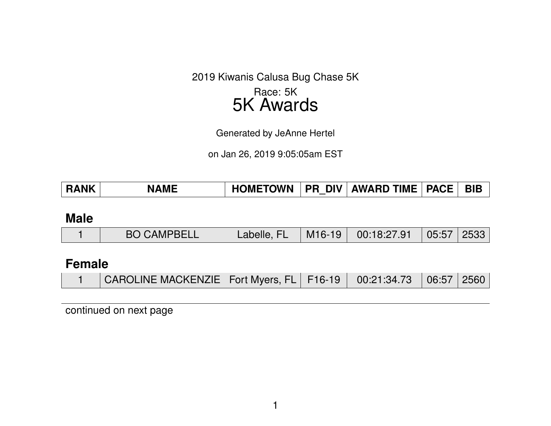2019 Kiwanis Calusa Bug Chase 5K

## Race: 5K 5K Awards

Generated by JeAnne Hertel

on Jan 26, 2019 9:05:05am EST

| <b>RANK</b><br><b>NAME</b> | <b>HOMETOWN</b><br><b>PR DIV</b> | AWARD TIME   PACE |  | <b>BIB</b> |
|----------------------------|----------------------------------|-------------------|--|------------|
|----------------------------|----------------------------------|-------------------|--|------------|

#### **Male**

|  | <b>BO CAMPBELL</b> | Labelle, FL/ | $\vert$ M16-19 $\vert$ | 00:18:27.91 | 05:57 2533 |  |
|--|--------------------|--------------|------------------------|-------------|------------|--|
|--|--------------------|--------------|------------------------|-------------|------------|--|

## **Female**

| CAROLINE MACKENZIE   Fort Myers, FL   F16-19   00:21:34.73   06:57   2560 |  |  |  |  |
|---------------------------------------------------------------------------|--|--|--|--|
|---------------------------------------------------------------------------|--|--|--|--|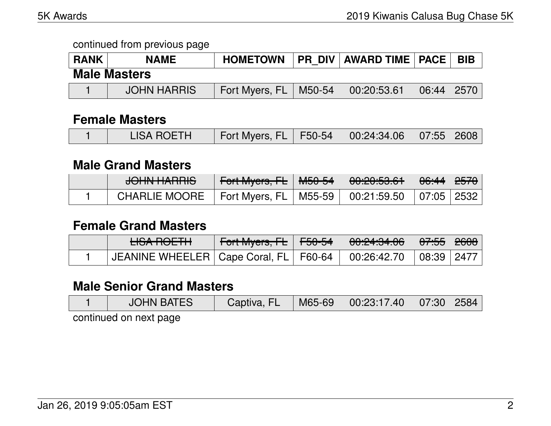| <b>RANK</b> | <b>NAME</b>         | <b>HOMETOWN</b> |        | <b>PR DIV AWARD TIME   PACE  </b> |       | <b>BIB</b>   |
|-------------|---------------------|-----------------|--------|-----------------------------------|-------|--------------|
|             | <b>Male Masters</b> |                 |        |                                   |       |              |
|             | <b>JOHN HARRIS</b>  | Fort Myers, FL  | M50-54 | 00:20:53.61                       | 06:44 | $\vert$ 2570 |

### **Female Masters**

| <b>LISA ROETH</b> | Fort Myers, FL   F50-54   00:24:34.06   07:55   2608 |
|-------------------|------------------------------------------------------|
|-------------------|------------------------------------------------------|

#### **Male Grand Masters**

| $\sqrt{2}$<br>7 <del>00 האדומות ס</del> |                           | 0.005061<br><u><del>UU.CU.JU.UT</del></u> | <del>06:44</del> ∣ <del>2570</del> ∣ |  |
|-----------------------------------------|---------------------------|-------------------------------------------|--------------------------------------|--|
| <b>CHARLIE MOORE</b>                    | Fort Myers, $FL$   M55-59 | 00:21:59.50                               | 07:05   2532                         |  |

### **Female Grand Masters**

| <u>LICA DOETH</u><br><b>CONTUCTION</b> |  | 00:24:34.06 | <del>07:55</del>   <del>2608</del> |  |
|----------------------------------------|--|-------------|------------------------------------|--|
|                                        |  | 00:26:42.70 | 08:39   2477                       |  |

## **Male Senior Grand Masters**

| <b>JOHN BATES</b> | Captiva, FL | M65-69 | $\begin{array}{ c c c c c }\ \hline \text{00:23:17.40} & \text{07:30} & \text{2584} \end{array}$ |  |
|-------------------|-------------|--------|--------------------------------------------------------------------------------------------------|--|
|                   |             |        |                                                                                                  |  |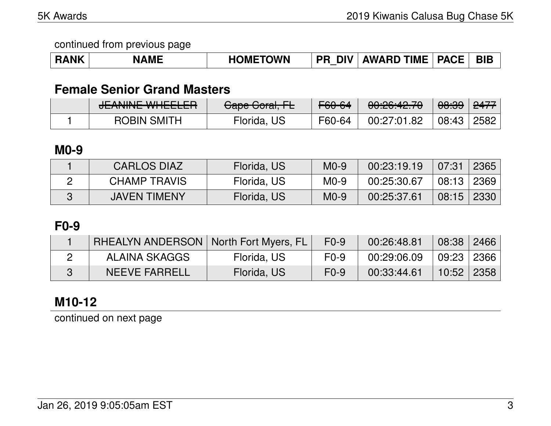| RANK | <b>NAME</b> | <b>HOMETOWN</b> | <b>PR</b> | ` DIV   AWARD TIME   PACE |  | <b>BIB</b> |
|------|-------------|-----------------|-----------|---------------------------|--|------------|
|------|-------------|-----------------|-----------|---------------------------|--|------------|

## **Female Senior Grand Masters**

| ITANIINITIMIITTI<br><del>JLANNINE WITELLEN</del> | $O_{\text{max}} O_{\text{rank}}$ $\Gamma$<br><del>Uape Ubiai, I L</del> | F60-64 | 0.00000070<br><del>00.20.42.70</del> | <del>08:39</del> | <del>2477</del> |
|--------------------------------------------------|-------------------------------------------------------------------------|--------|--------------------------------------|------------------|-----------------|
| <b>ROBIN SMITH</b>                               | Florida, US                                                             | F60-64 | 00:27:01.82                          | 08:43            | 2582            |

### **M0-9**

| <b>CARLOS DIAZ</b>  | Florida, US | $MO-9$ | 00:23:19.19 | 07:31        | 2365 |
|---------------------|-------------|--------|-------------|--------------|------|
| CHAMP TRAVIS        | Florida, US | $M0-9$ | 00:25:30.67 | $08:13$ 2369 |      |
| <b>JAVEN TIMENY</b> | Florida, US | $M0-9$ | 00:25:37.61 | 08:15        | 2330 |

## **F0-9**

| RHEALYN ANDERSON   North Fort Myers, FL |             | $F0-9$ | 00:26:48.81 | 08:38 2466     |  |
|-----------------------------------------|-------------|--------|-------------|----------------|--|
| ALAINA SKAGGS                           | Florida, US | $F0-9$ | 00:29:06.09 | 09:23 2366     |  |
| <b>NEEVE FARRELL</b>                    | Florida, US | $F0-9$ | 00:33:44.61 | $10:52$   2358 |  |

## **M10-12**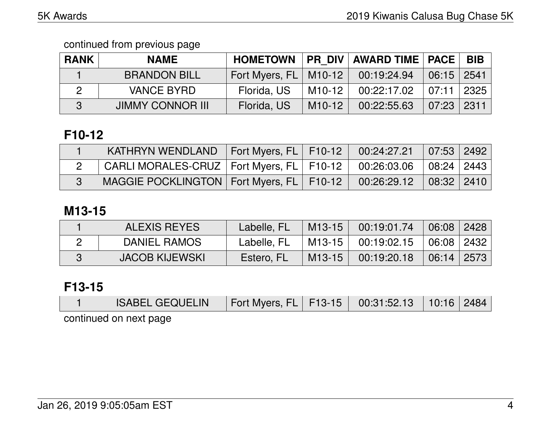| <b>RANK</b> | <b>NAME</b>             | <b>HOMETOWN</b>         |        | <b>PR DIV AWARD TIME   PACE</b> |              | <b>BIB</b> |
|-------------|-------------------------|-------------------------|--------|---------------------------------|--------------|------------|
|             | <b>BRANDON BILL</b>     | Fort Myers, FL   M10-12 |        | 00:19:24.94                     | $06:15$ 2541 |            |
|             | <b>VANCE BYRD</b>       | Florida, US             | M10-12 | 00:22:17.02                     | 07:11        | 2325       |
| 3           | <b>JIMMY CONNOR III</b> | Florida, US             | M10-12 | 00:22:55.63                     | $07:23$      | -2311      |

# **F10-12**

| KATHRYN WENDLAND $ $ Fort Myers, FL $ $ F10-12 $ $                                |  | $\begin{array}{ c c c c c c c c } \hline 00:24:27.21 & 07:53 & 2492 \hline \end{array}$ |  |
|-----------------------------------------------------------------------------------|--|-----------------------------------------------------------------------------------------|--|
| $^\top$ CARLI MORALES-CRUZ   Fort Myers, FL   F10-12   00:26:03.06   08:24   2443 |  |                                                                                         |  |
| MAGGIE POCKLINGTON   Fort Myers, FL   F10-12                                      |  | $00:26:29.12$ $08:32$ 2410                                                              |  |

## **M13-15**

| <b>ALEXIS REYES</b>   | Labelle, FL | $M13-15$   | 00:19:01.74 | 06:08 2428   |  |
|-----------------------|-------------|------------|-------------|--------------|--|
| DANIEL RAMOS          | Labelle, FL | ำ M13-15 ⊥ | 00:19:02.15 | 06:08   2432 |  |
| <b>JACOB KIJEWSKI</b> | Estero, FL  | $M13-15$   | 00:19:20.18 | $06:14$ 2573 |  |

## **F13-15**

| <b>ISABEL GEQUELIN</b> | Fort Myers, FL   F13-15   00:31:52.13   10:16   2484 |  |  |  |  |  |  |  |
|------------------------|------------------------------------------------------|--|--|--|--|--|--|--|
| continued on next nane |                                                      |  |  |  |  |  |  |  |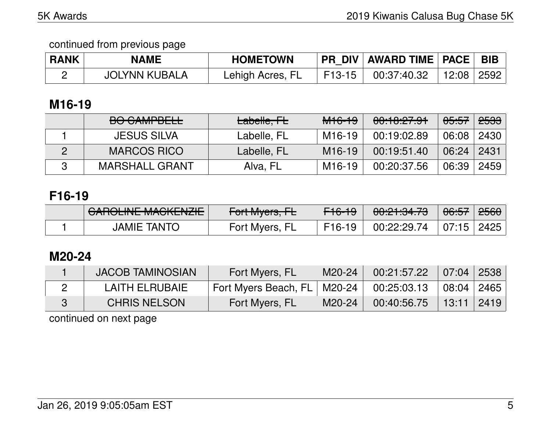| <b>RANK</b> | <b>NAME</b>          | <b>HOMETOWN</b>  |        | PR DIV   AWARD TIME   PACE   BIB |  |
|-------------|----------------------|------------------|--------|----------------------------------|--|
|             | <b>JOLYNN KUBALA</b> | Lehigh Acres, FL | F13-15 | $00:37:40.32$   12:08   2592     |  |

## **M16-19**

| $DQ$ $C$ $M$ $DQ$ $L$<br><b>DU UAIVII DELE</b> | Labelle, FL | <del>M16-19</del>   | 00:10:27.91 | <del>05:57</del> | <del>2533</del> |
|------------------------------------------------|-------------|---------------------|-------------|------------------|-----------------|
| <b>JESUS SILVA</b>                             | Labelle, FL | M16-19              | 00:19:02.89 | 06:08            | 2430            |
| <b>MARCOS RICO</b>                             | Labelle, FL | M <sub>16</sub> -19 | 00:19:51.40 | 06:24            | 2431            |
| <b>MARSHALL GRANT</b>                          | Alva, FL    | M <sub>16</sub> -19 | 00:20:37.56 | 06:39            | 2459            |

## **F16-19**

| $\bigcap$ $\bigcap$ inic Maquarity<br><u>UMIULINE MAUNENZIE</u> | $\Gamma$ <sub>o</sub> $\downarrow$ $\Lambda$ $\mu$<br>$T$ UITIVIYUIS, ITE | <del>F16-19</del>   | <u>AA.AH.AA 70</u><br>00. <del>41.04.70</del> | <del>06:57</del> | <del>2560</del> |
|-----------------------------------------------------------------|---------------------------------------------------------------------------|---------------------|-----------------------------------------------|------------------|-----------------|
| <b>JAMIE TANTO</b>                                              | Fort Myers, FL                                                            | F <sub>16</sub> -19 | 00:22:29.74                                   | 07:15   2425     |                 |

## **M20-24**

| <b>JACOB TAMINOSIAN</b> | Fort Myers, FL                | M20-24 | 00:21:57.22 | $\mid$ 07:04 2538 |  |
|-------------------------|-------------------------------|--------|-------------|-------------------|--|
| LAITH ELRUBAIE          | Fort Myers Beach, FL   M20-24 |        | 00:25:03.13 | 08:04 2465        |  |
| <b>CHRIS NELSON</b>     | Fort Myers, FL                | M20-24 | 00:40:56.75 | 13:11 2419        |  |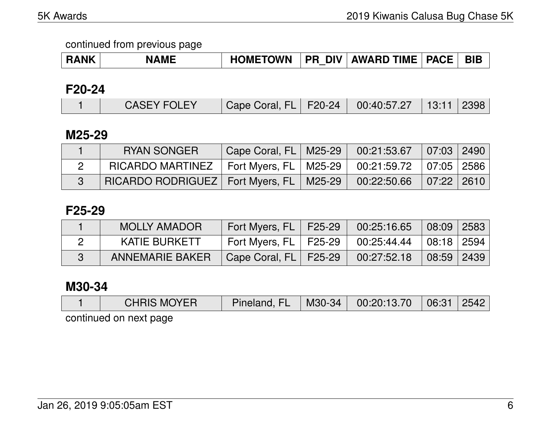| RANK | <b>NAME</b> | <b>HOMETOWN</b> | DIV  <br><b>PR</b> | <b>AWARD TIME</b> | <b>PACE</b> | <b>BIB</b> |
|------|-------------|-----------------|--------------------|-------------------|-------------|------------|
|------|-------------|-----------------|--------------------|-------------------|-------------|------------|

### **F20-24**

|  | <b>CASEY FOLEY</b> | Cape Coral, FL   F20-24   00:40:57.27   13:11   2398 |  |  |  |  |
|--|--------------------|------------------------------------------------------|--|--|--|--|
|--|--------------------|------------------------------------------------------|--|--|--|--|

### **M25-29**

| <b>RYAN SONGER</b>                           | Cape Coral, FL   M25-29 | 00:21:53.67                                      | 07:03 2490 |  |
|----------------------------------------------|-------------------------|--------------------------------------------------|------------|--|
| $RICARDO MARTINEZ$   Fort Myers, FL   M25-29 |                         | $00:21:59.72 \; \mid 07:05 \; \mid 2586 \; \mid$ |            |  |
| RICARDO RODRIGUEZ   Fort Myers, FL   M25-29  |                         | 00:22:50.66                                      | 07:22 2610 |  |

### **F25-29**

| <b>MOLLY AMADOR</b>    | Fort Myers, FL   F25-29 | 00:25:16.65                               | 08:09 2583         |  |
|------------------------|-------------------------|-------------------------------------------|--------------------|--|
| <b>KATIE BURKETT</b>   | Fort Myers, FL   F25-29 | $00:25:44.44$ $\mid 08:18 \mid 2594 \mid$ |                    |  |
| <b>ANNEMARIE BAKER</b> | Cape Coral, FL   F25-29 | 00:27:52.18                               | $\vert$ 08:59 2439 |  |

## **M30-34**

|                           | <b>CHRIS MOYER</b> |  |  | Pineland, FL   M30-34   00:20:13.70   06:31   2542 |  |  |  |  |
|---------------------------|--------------------|--|--|----------------------------------------------------|--|--|--|--|
| continual on port popular |                    |  |  |                                                    |  |  |  |  |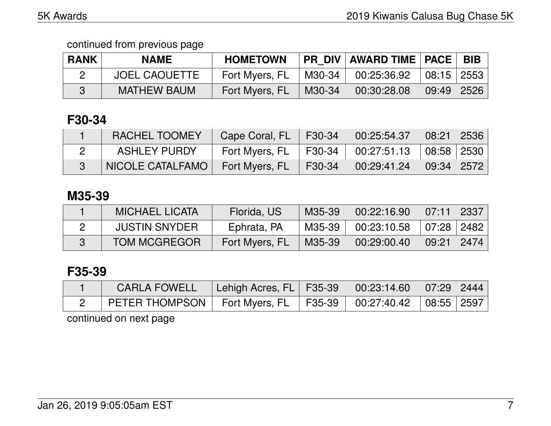| <b>RANK</b> | <b>NAME</b>          | <b>HOMETOWN</b> |        | PR DIV   AWARD TIME   PACE   BIB |                                    |  |
|-------------|----------------------|-----------------|--------|----------------------------------|------------------------------------|--|
|             | <b>JOEL CAOUETTE</b> | Fort Myers, FL  | M30-34 | 00:25:36.92                      | $\vert$ 08:15 $\vert$ 2553 $\vert$ |  |
|             | <b>MATHEW BAUM</b>   | Fort Myers, FL  | M30-34 | 00:30:28.08                      | 09:49   2526                       |  |

## **F30-34**

| <b>RACHEL TOOMEY</b> | Cape Coral, FL   F30-34   00:25:54.37   08:21   2536 |                               |  |
|----------------------|------------------------------------------------------|-------------------------------|--|
| <b>ASHLEY PURDY</b>  | Fort Myers, FL   F30-34   00:27:51.13   08:58   2530 |                               |  |
| NICOLE CATALFAMO     | Fort Myers, FL                                       | F30-34 00:29:41.24 09:34 2572 |  |

### **M35-39**

| <b>MICHAEL LICATA</b> | Florida, US    | M35-39 | 00:22:16.90              | 07:11 2337       |  |
|-----------------------|----------------|--------|--------------------------|------------------|--|
| <b>JUSTIN SNYDER</b>  | Ephrata, PA    | M35-39 | $00:23:10.58$ 07:28 2482 |                  |  |
| <b>TOM MCGREGOR</b>   | Fort Myers, FL | M35-39 | 00:29:00.40              | │ 09:21 │ 2474 │ |  |

## **F35-39**

| <b>CARLA FOWELL</b>                                                   | Lehigh Acres, FL   F35-39   00:23:14.60   07:29   2444 |  |  |
|-----------------------------------------------------------------------|--------------------------------------------------------|--|--|
| PETER THOMPSON   Fort Myers, FL   F35-39   00:27:40.42   08:55   2597 |                                                        |  |  |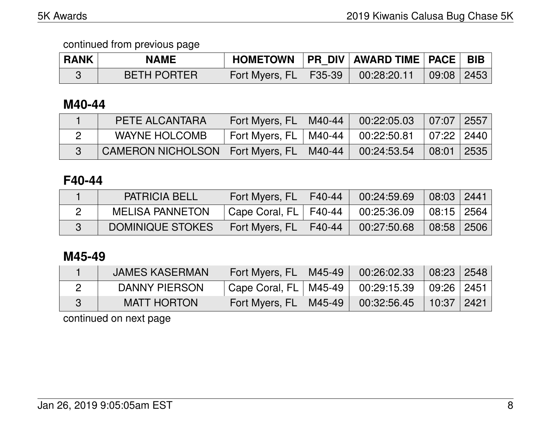| <b>RANK</b> | <b>NAME</b>        |                           | HOMETOWN   PR DIV   AWARD TIME   PACE   BIB |                                 |  |
|-------------|--------------------|---------------------------|---------------------------------------------|---------------------------------|--|
|             | <b>BETH PORTER</b> | Fort Myers, $FL$   F35-39 | 00:28:20.11                                 | $\mid$ 09:08 $\mid$ 2453 $\mid$ |  |

#### **M40-44**

| PETE ALCANTARA                                                           | Fort Myers, FL   M40-44                                 | $00:22:05.03$ 07:07 2557 |  |
|--------------------------------------------------------------------------|---------------------------------------------------------|--------------------------|--|
| WAYNE HOLCOMB                                                            | 「Fort Myers, FL │ M40-44 │ 00:22:50.81 │ 07:22 │ 2440 │ |                          |  |
| CAMERON NICHOLSON   Fort Myers, FL   M40-44   00:24:53.54   08:01   2535 |                                                         |                          |  |

## **F40-44**

| <b>PATRICIA BELL</b>   | Fort Myers, FL          | F40-44 | 00:24:59.69 | $\mid$ 08:03 $\mid$ 2441 $\mid$    |  |
|------------------------|-------------------------|--------|-------------|------------------------------------|--|
| <b>MELISA PANNETON</b> | Cape Coral, FL   F40-44 |        | 00:25:36.09 | $\vert$ 08:15 $\vert$ 2564 $\vert$ |  |
| DOMINIQUE STOKES       | Fort Myers, FL          | F40-44 | 00:27:50.68 | $\mid$ 08:58 $\mid$ 2506 $\mid$    |  |

## **M45-49**

| <b>JAMES KASERMAN</b> | Fort Myers, FL   M45-49   | 00:26:02.33                               | $\vert$ 08:23 $\vert$ 2548 $\vert$ |  |
|-----------------------|---------------------------|-------------------------------------------|------------------------------------|--|
| DANNY PIERSON         | ' Cape Coral, FL   M45-49 | $00:29:15.39$ $\mid 09:26 \mid 2451 \mid$ |                                    |  |
| <b>MATT HORTON</b>    | Fort Myers, FL   M45-49   | 00:32:56.45                               | 10:37 2421                         |  |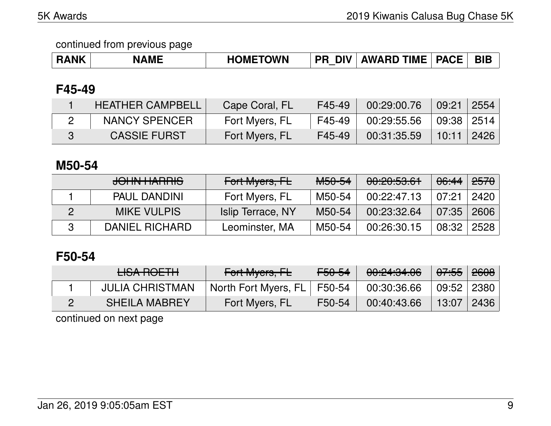| <b>RANK</b> | <b>NAME</b> | <b>HOMETOWN</b> | <b>DIV</b><br><b>PR</b> | $\,$ AWARD TIME $^+$ | <b>PACE</b> | <b>BIE</b> |
|-------------|-------------|-----------------|-------------------------|----------------------|-------------|------------|
|-------------|-------------|-----------------|-------------------------|----------------------|-------------|------------|

### **F45-49**

| <b>HEATHER CAMPBELL</b> | Cape Coral, FL | F45-49 | 00:29:00.76 | 09:21 2554             |  |
|-------------------------|----------------|--------|-------------|------------------------|--|
| NANCY SPENCER           | Fort Myers, FL | F45-49 | 00:29:55.56 | $09:38 \mid 2514 \mid$ |  |
| <b>CASSIE FURST</b>     | Fort Myers, FL | F45-49 | 00:31:35.59 | $10:11$   2426         |  |

### **M50-54**

| <b>JOHN HARRIS</b>    | Fort Myers, FL    | <del>M50-54</del> | 00:20:53.61 | <del>06:44</del> | <del>2570</del> |
|-----------------------|-------------------|-------------------|-------------|------------------|-----------------|
| <b>PAUL DANDINI</b>   | Fort Myers, FL    | M50-54            | 00:22:47.13 | 07:21            | 2420            |
| <b>MIKE VULPIS</b>    | Islip Terrace, NY | M50-54            | 00:23:32.64 | 07:35            | 2606            |
| <b>DANIEL RICHARD</b> | Leominster, MA    | M50-54            | 00:26:30.15 | 08:32            | 2528            |

## **F50-54**

| <b>LISA ROETH</b>      | Fort Myers, FL                | <del>F50-54</del> | 00:24:34.06 | <del>07:55</del> 2 <del>608</del> |  |
|------------------------|-------------------------------|-------------------|-------------|-----------------------------------|--|
| <b>JULIA CHRISTMAN</b> | North Fort Myers, FL   F50-54 |                   | 00:30:36.66 | 09:52   2380                      |  |
| <b>SHEILA MABREY</b>   | Fort Myers, FL                | F50-54            | 00:40:43.66 | 13:07   2436                      |  |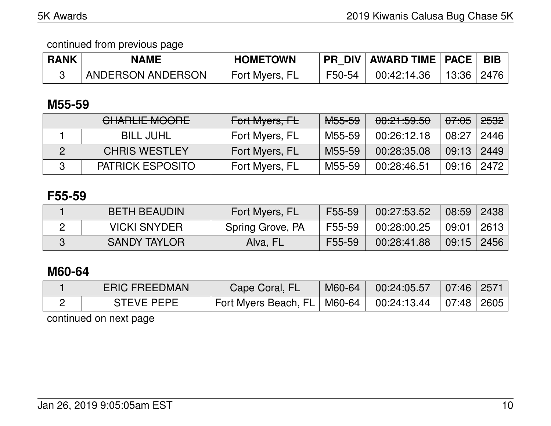| <b>RANK</b> | <b>NAME</b>       | <b>HOMETOWN</b> | <b>PR DIV</b> | AWARD TIME   PACE   BIB |              |  |
|-------------|-------------------|-----------------|---------------|-------------------------|--------------|--|
|             | ANDERSON ANDERSON | Fort Myers, FL  | F50-54        | 00:42:14.36             | 13:36   2476 |  |

## **M55-59**

| <b>CHARLIE MOORE</b>    | Fort Myers, FL | <del>M55-59</del> | 00:21:59.50 | <del>07:05</del> | <del>2532</del> |
|-------------------------|----------------|-------------------|-------------|------------------|-----------------|
| <b>BILL JUHL</b>        | Fort Myers, FL | M55-59            | 00:26:12.18 | 08:27            | 2446            |
| <b>CHRIS WESTLEY</b>    | Fort Myers, FL | M55-59            | 00:28:35.08 | 09:13            | 2449            |
| <b>PATRICK ESPOSITO</b> | Fort Myers, FL | M55-59            | 00:28:46.51 | 09:16 2472       |                 |

## **F55-59**

| <b>BETH BEAUDIN</b> | Fort Myers, FL   | F55-59 | 00:27:53.52 | 08:59 2438     |      |
|---------------------|------------------|--------|-------------|----------------|------|
| <b>VICKI SNYDER</b> | Spring Grove, PA | F55-59 | 00:28:00.25 | 09:01          | 2613 |
| <b>SANDY TAYLOR</b> | Alva, FL         | F55-59 | 00:28:41.88 | $09:15$   2456 |      |

## **M60-64**

| <b>ERIC FREEDMAN</b> | Cape Coral, FL                | M60-64 | $00:24:05.57$ 07:46 2571   |  |
|----------------------|-------------------------------|--------|----------------------------|--|
| <b>STEVE PEPE</b>    | Fort Myers Beach, FL   M60-64 |        | │ 00:24:13.44 │07:48│2605│ |  |
|                      |                               |        |                            |  |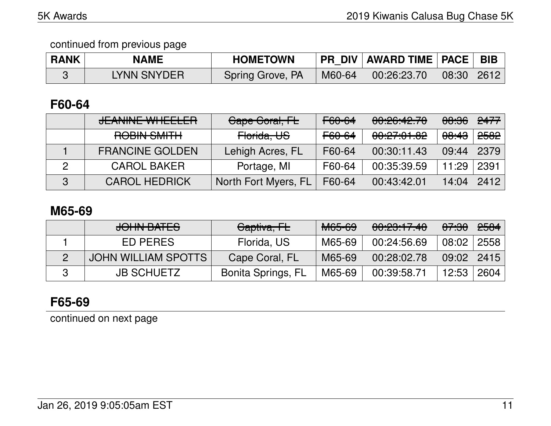| <b>RANK</b> | <b>NAME</b> | <b>HOMETOWN</b>  |        | PR DIV   AWARD TIME   PACE   BIB |            |  |
|-------------|-------------|------------------|--------|----------------------------------|------------|--|
|             | LYNN SNYDER | Spring Grove, PA | M60-64 | 00:26:23.70                      | 08:30 2612 |  |

### **F60-64**

|   | <u>ICANINIE MILIEELED</u>                | Gape Goral, FL       | F60-64            | 0.00.10.70<br>00.20.76.10 | <del>08:36</del> | <del>2477</del> |
|---|------------------------------------------|----------------------|-------------------|---------------------------|------------------|-----------------|
|   | DODINI OMITLI<br><b>ITELINIO AIILITI</b> | Horida, US           | <del>F60-64</del> | 00:27:01.02               | <del>08:43</del> | <del>2582</del> |
|   | <b>FRANCINE GOLDEN</b>                   | Lehigh Acres, FL     | F60-64            | 00:30:11.43               | 09:44            | 2379            |
| 2 | <b>CAROL BAKER</b>                       | Portage, MI          | F60-64            | 00:35:39.59               | 11:29            | 2391            |
| 3 | <b>CAROL HEDRICK</b>                     | North Fort Myers, FL | F60-64            | 00:43:42.01               | 14:04            | 2412            |

#### **M65-69**

|               | JOHN BATES          | <del>Captiva, FL</del>    | <del>M65-69</del> | 00:23:17.40 | <del>07:30</del> | <del>2584</del> |
|---------------|---------------------|---------------------------|-------------------|-------------|------------------|-----------------|
|               | ED PERES            | Florida, US               | M65-69            | 00:24:56.69 | 08:02            | 2558            |
| $\mathcal{P}$ | JOHN WILLIAM SPOTTS | Cape Coral, FL            | M65-69            | 00:28:02.78 | 09:02            | 2415            |
| R             | <b>JB SCHUETZ</b>   | <b>Bonita Springs, FL</b> | M65-69            | 00:39:58.71 | 12:53            | 2604            |

## **F65-69**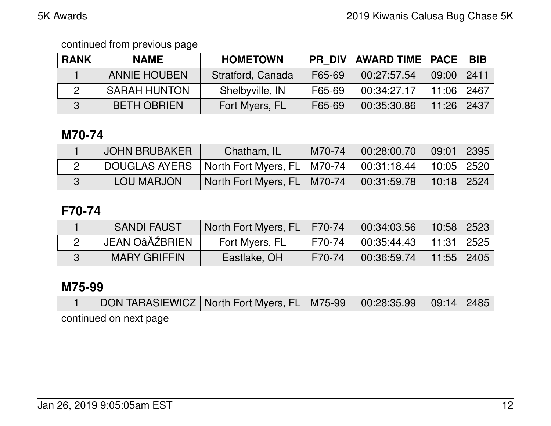continued from previous page

| <b>RANK</b> | <b>NAME</b>         | <b>HOMETOWN</b>   |        | <b>PR DIV AWARD TIME   PACE  </b> |                | <b>BIB</b> |
|-------------|---------------------|-------------------|--------|-----------------------------------|----------------|------------|
|             | <b>ANNIE HOUBEN</b> | Stratford, Canada | F65-69 | 00:27:57.54                       | $09:00$   2411 |            |
|             | <b>SARAH HUNTON</b> | Shelbyville, IN   | F65-69 | 00:34:27.17                       | $11:06$   2467 |            |
|             | <b>BETH OBRIEN</b>  | Fort Myers, FL    | F65-69 | 00:35:30.86                       | $11:26$   2437 |            |

## **M70-74**

| <b>JOHN BRUBAKER</b> | Chatham, IL                   | M70-74 | 00:28:00.70 | 09:01          | 2395 |
|----------------------|-------------------------------|--------|-------------|----------------|------|
| <b>DOUGLAS AYERS</b> | North Fort Myers, FL   M70-74 |        | 00:31:18.44 | 10:05 2520     |      |
| <b>LOU MARJON</b>    | North Fort Myers, FL   M70-74 |        | 00:31:59.78 | $10:18$   2524 |      |

### **F70-74**

| <b>SANDI FAUST</b>  | North Fort Myers, FL   F70-74 |        | $00:34:03.56$   10:58   2523 |              |  |
|---------------------|-------------------------------|--------|------------------------------|--------------|--|
| JEAN OâĂŹBRIEN      | Fort Myers, FL                | F70-74 | $00:35:44.43$   11:31   2525 |              |  |
| <b>MARY GRIFFIN</b> | Eastlake, OH                  | F70-74 | 00:36:59.74                  | $11:55$ 2405 |  |

## **M75-99**

|                        |  | DON TARASIEWICZ   North Fort Myers, FL   M75-99   00:28:35.99   09:14   2485 |  |  |
|------------------------|--|------------------------------------------------------------------------------|--|--|
| continued on next page |  |                                                                              |  |  |